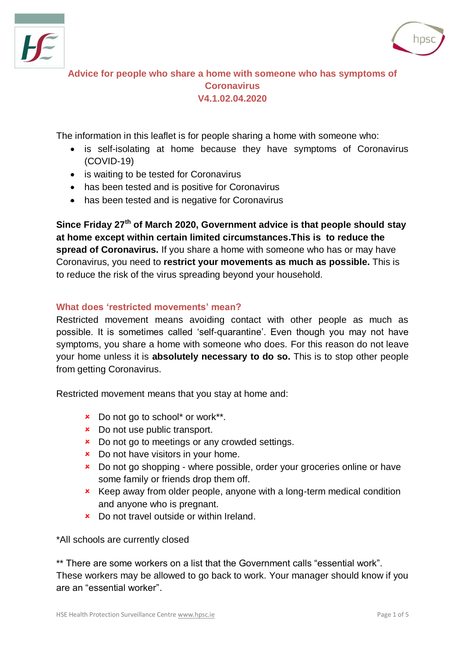



**Advice for people who share a home with someone who has symptoms of Coronavirus V4.1.02.04.2020**

The information in this leaflet is for people sharing a home with someone who:

- is self-isolating at home because they have symptoms of Coronavirus (COVID-19)
- is waiting to be tested for Coronavirus
- has been tested and is positive for Coronavirus
- has been tested and is negative for Coronavirus

**Since Friday 27th of March 2020, Government advice is that people should stay at home except within certain limited circumstances.This is to reduce the spread of Coronavirus.** If you share a home with someone who has or may have Coronavirus, you need to **restrict your movements as much as possible.** This is to reduce the risk of the virus spreading beyond your household.

## **What does 'restricted movements' mean?**

Restricted movement means avoiding contact with other people as much as possible. It is sometimes called 'self-quarantine'. Even though you may not have symptoms, you share a home with someone who does. For this reason do not leave your home unless it is **absolutely necessary to do so.** This is to stop other people from getting Coronavirus.

Restricted movement means that you stay at home and:

- **x** Do not go to school\* or work\*\*.
- **x** Do not use public transport.
- **x** Do not go to meetings or any crowded settings.
- **x** Do not have visitors in your home.
- **x** Do not go shopping where possible, order your groceries online or have some family or friends drop them off.
- **\*** Keep away from older people, anyone with a long-term medical condition and anyone who is pregnant.
- Do not travel outside or within Ireland.

\*All schools are currently closed

\*\* There are some workers on a list that the Government calls "essential work". These workers may be allowed to go back to work. Your manager should know if you are an "essential worker".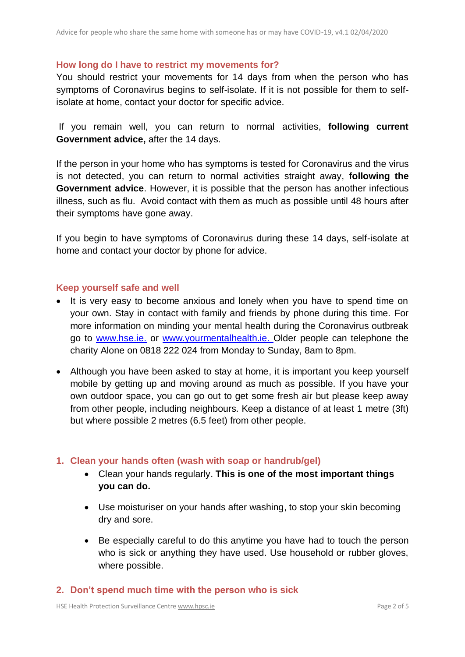#### **How long do I have to restrict my movements for?**

You should restrict your movements for 14 days from when the person who has symptoms of Coronavirus begins to self-isolate. If it is not possible for them to selfisolate at home, contact your doctor for specific advice.

If you remain well, you can return to normal activities, **following current Government advice,** after the 14 days.

If the person in your home who has symptoms is tested for Coronavirus and the virus is not detected, you can return to normal activities straight away, **following the Government advice**. However, it is possible that the person has another infectious illness, such as flu. Avoid contact with them as much as possible until 48 hours after their symptoms have gone away.

If you begin to have symptoms of Coronavirus during these 14 days, self-isolate at home and contact your doctor by phone for advice.

## **Keep yourself safe and well**

- It is very easy to become anxious and lonely when you have to spend time on your own. Stay in contact with family and friends by phone during this time. For more information on minding your mental health during the Coronavirus outbreak go to [www.hse.ie.](https://www2.hse.ie/wellbeing/mental-health/minding-your-mental-health-during-the-coronavirus-outbreak.html) or [www.yourmentalhealth.ie.](http://www.yourmentalhealth.ie/) Older people can telephone the charity Alone on 0818 222 024 from Monday to Sunday, 8am to 8pm.
- Although you have been asked to stay at home, it is important you keep yourself mobile by getting up and moving around as much as possible. If you have your own outdoor space, you can go out to get some fresh air but please keep away from other people, including neighbours. Keep a distance of at least 1 metre (3ft) but where possible 2 metres (6.5 feet) from other people.

## **1. Clean your hands often (wash with soap or handrub/gel)**

- Clean your hands regularly. **This is one of the most important things you can do.**
- Use moisturiser on your hands after washing, to stop your skin becoming dry and sore.
- Be especially careful to do this anytime you have had to touch the person who is sick or anything they have used. Use household or rubber gloves, where possible.

#### **2. Don't spend much time with the person who is sick**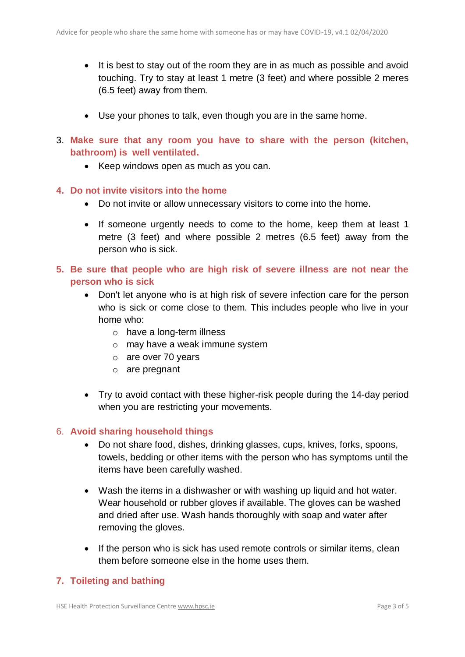- It is best to stay out of the room they are in as much as possible and avoid touching. Try to stay at least 1 metre (3 feet) and where possible 2 meres (6.5 feet) away from them.
- Use your phones to talk, even though you are in the same home.
- 3. **Make sure that any room you have to share with the person (kitchen, bathroom) is well ventilated.** 
	- Keep windows open as much as you can.
- **4. Do not invite visitors into the home**
	- Do not invite or allow unnecessary visitors to come into the home.
	- If someone urgently needs to come to the home, keep them at least 1 metre (3 feet) and where possible 2 metres (6.5 feet) away from the person who is sick.
- **5. Be sure that people who are high risk of severe illness are not near the person who is sick**
	- Don't let anyone who is at high risk of severe infection care for the person who is sick or come close to them. This includes people who live in your home who:
		- o have a long-term illness
		- o may have a weak immune system
		- o are over 70 years
		- o are pregnant
	- Try to avoid contact with these higher-risk people during the 14-day period when you are restricting your movements.

## 6. **Avoid sharing household things**

- Do not share food, dishes, drinking glasses, cups, knives, forks, spoons, towels, bedding or other items with the person who has symptoms until the items have been carefully washed.
- Wash the items in a dishwasher or with washing up liquid and hot water. Wear household or rubber gloves if available. The gloves can be washed and dried after use. Wash hands thoroughly with soap and water after removing the gloves.
- If the person who is sick has used remote controls or similar items, clean them before someone else in the home uses them.

## **7. Toileting and bathing**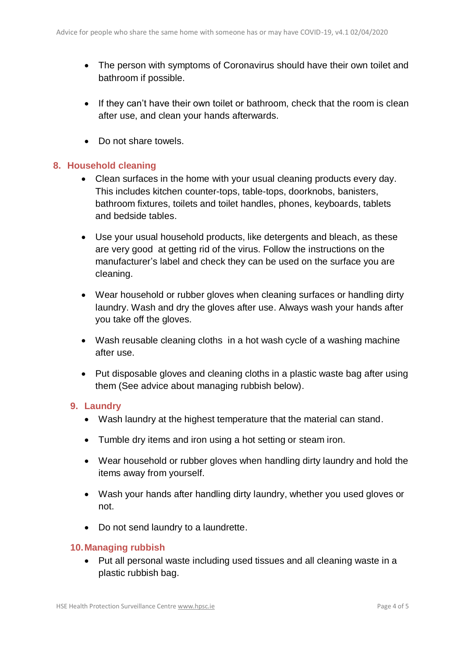- The person with symptoms of Coronavirus should have their own toilet and bathroom if possible.
- If they can't have their own toilet or bathroom, check that the room is clean after use, and clean your hands afterwards.
- Do not share towels.

## **8. Household cleaning**

- Clean surfaces in the home with your usual cleaning products every day. This includes kitchen counter-tops, table-tops, doorknobs, banisters, bathroom fixtures, toilets and toilet handles, phones, keyboards, tablets and bedside tables.
- Use your usual household products, like detergents and bleach, as these are very good at getting rid of the virus. Follow the instructions on the manufacturer's label and check they can be used on the surface you are cleaning.
- Wear household or rubber gloves when cleaning surfaces or handling dirty laundry. Wash and dry the gloves after use. Always wash your hands after you take off the gloves.
- Wash reusable cleaning cloths in a hot wash cycle of a washing machine after use.
- Put disposable gloves and cleaning cloths in a plastic waste bag after using them (See advice about managing rubbish below).

## **9. Laundry**

- Wash laundry at the highest temperature that the material can stand.
- Tumble dry items and iron using a hot setting or steam iron.
- Wear household or rubber gloves when handling dirty laundry and hold the items away from yourself.
- Wash your hands after handling dirty laundry, whether you used gloves or not.
- Do not send laundry to a laundrette.

## **10.Managing rubbish**

 Put all personal waste including used tissues and all cleaning waste in a plastic rubbish bag.